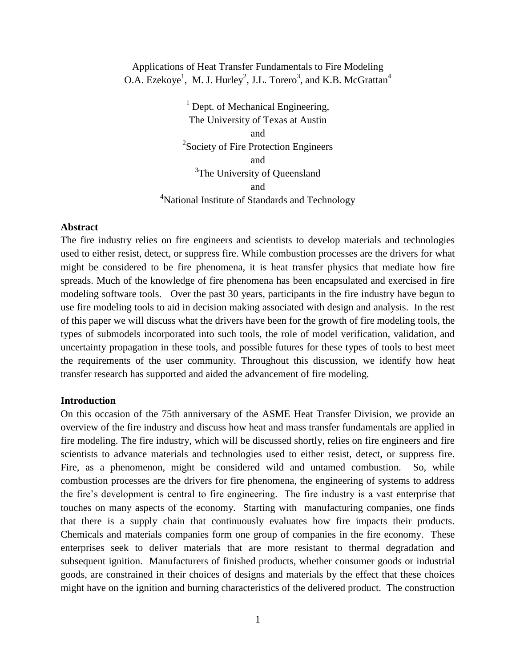# Applications of Heat Transfer Fundamentals to Fire Modeling O.A. Ezekoye<sup>1</sup>, M. J. Hurley<sup>2</sup>, J.L. Torero<sup>3</sup>, and K.B. McGrattan<sup>4</sup>

 $<sup>1</sup>$  Dept. of Mechanical Engineering,</sup> The University of Texas at Austin and <sup>2</sup>Society of Fire Protection Engineers and <sup>3</sup>The University of Queensland and <sup>4</sup>National Institute of Standards and Technology

# **Abstract**

The fire industry relies on fire engineers and scientists to develop materials and technologies used to either resist, detect, or suppress fire. While combustion processes are the drivers for what might be considered to be fire phenomena, it is heat transfer physics that mediate how fire spreads. Much of the knowledge of fire phenomena has been encapsulated and exercised in fire modeling software tools. Over the past 30 years, participants in the fire industry have begun to use fire modeling tools to aid in decision making associated with design and analysis. In the rest of this paper we will discuss what the drivers have been for the growth of fire modeling tools, the types of submodels incorporated into such tools, the role of model verification, validation, and uncertainty propagation in these tools, and possible futures for these types of tools to best meet the requirements of the user community. Throughout this discussion, we identify how heat transfer research has supported and aided the advancement of fire modeling.

### **Introduction**

On this occasion of the 75th anniversary of the ASME Heat Transfer Division, we provide an overview of the fire industry and discuss how heat and mass transfer fundamentals are applied in fire modeling. The fire industry, which will be discussed shortly, relies on fire engineers and fire scientists to advance materials and technologies used to either resist, detect, or suppress fire. Fire, as a phenomenon, might be considered wild and untamed combustion. So, while combustion processes are the drivers for fire phenomena, the engineering of systems to address the fire's development is central to fire engineering. The fire industry is a vast enterprise that touches on many aspects of the economy. Starting with manufacturing companies, one finds that there is a supply chain that continuously evaluates how fire impacts their products. Chemicals and materials companies form one group of companies in the fire economy. These enterprises seek to deliver materials that are more resistant to thermal degradation and subsequent ignition. Manufacturers of finished products, whether consumer goods or industrial goods, are constrained in their choices of designs and materials by the effect that these choices might have on the ignition and burning characteristics of the delivered product. The construction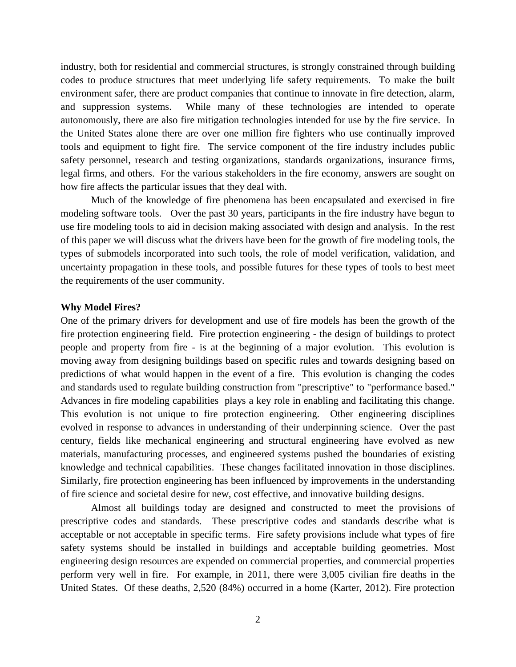industry, both for residential and commercial structures, is strongly constrained through building codes to produce structures that meet underlying life safety requirements. To make the built environment safer, there are product companies that continue to innovate in fire detection, alarm, and suppression systems. While many of these technologies are intended to operate autonomously, there are also fire mitigation technologies intended for use by the fire service. In the United States alone there are over one million fire fighters who use continually improved tools and equipment to fight fire. The service component of the fire industry includes public safety personnel, research and testing organizations, standards organizations, insurance firms, legal firms, and others. For the various stakeholders in the fire economy, answers are sought on how fire affects the particular issues that they deal with.

Much of the knowledge of fire phenomena has been encapsulated and exercised in fire modeling software tools. Over the past 30 years, participants in the fire industry have begun to use fire modeling tools to aid in decision making associated with design and analysis. In the rest of this paper we will discuss what the drivers have been for the growth of fire modeling tools, the types of submodels incorporated into such tools, the role of model verification, validation, and uncertainty propagation in these tools, and possible futures for these types of tools to best meet the requirements of the user community.

### **Why Model Fires?**

One of the primary drivers for development and use of fire models has been the growth of the fire protection engineering field. Fire protection engineering - the design of buildings to protect people and property from fire - is at the beginning of a major evolution. This evolution is moving away from designing buildings based on specific rules and towards designing based on predictions of what would happen in the event of a fire. This evolution is changing the codes and standards used to regulate building construction from "prescriptive" to "performance based." Advances in fire modeling capabilities plays a key role in enabling and facilitating this change. This evolution is not unique to fire protection engineering. Other engineering disciplines evolved in response to advances in understanding of their underpinning science. Over the past century, fields like mechanical engineering and structural engineering have evolved as new materials, manufacturing processes, and engineered systems pushed the boundaries of existing knowledge and technical capabilities. These changes facilitated innovation in those disciplines. Similarly, fire protection engineering has been influenced by improvements in the understanding of fire science and societal desire for new, cost effective, and innovative building designs.

Almost all buildings today are designed and constructed to meet the provisions of prescriptive codes and standards. These prescriptive codes and standards describe what is acceptable or not acceptable in specific terms. Fire safety provisions include what types of fire safety systems should be installed in buildings and acceptable building geometries. Most engineering design resources are expended on commercial properties, and commercial properties perform very well in fire. For example, in 2011, there were 3,005 civilian fire deaths in the United States. Of these deaths, 2,520 (84%) occurred in a home (Karter, 2012). Fire protection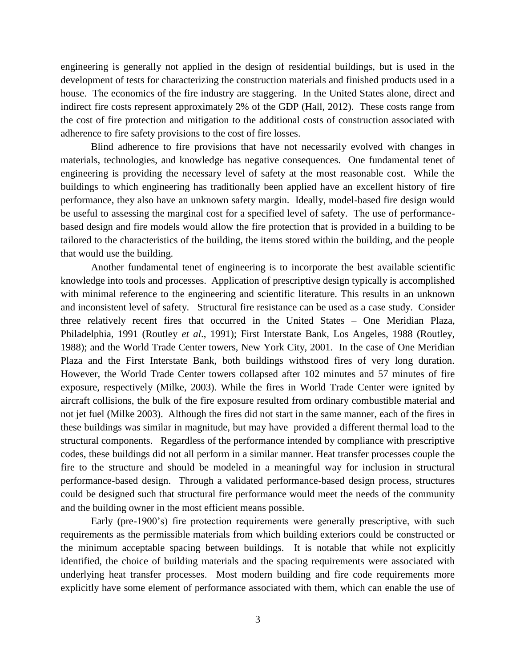engineering is generally not applied in the design of residential buildings, but is used in the development of tests for characterizing the construction materials and finished products used in a house. The economics of the fire industry are staggering. In the United States alone, direct and indirect fire costs represent approximately 2% of the GDP (Hall, 2012). These costs range from the cost of fire protection and mitigation to the additional costs of construction associated with adherence to fire safety provisions to the cost of fire losses.

Blind adherence to fire provisions that have not necessarily evolved with changes in materials, technologies, and knowledge has negative consequences. One fundamental tenet of engineering is providing the necessary level of safety at the most reasonable cost. While the buildings to which engineering has traditionally been applied have an excellent history of fire performance, they also have an unknown safety margin. Ideally, model-based fire design would be useful to assessing the marginal cost for a specified level of safety. The use of performancebased design and fire models would allow the fire protection that is provided in a building to be tailored to the characteristics of the building, the items stored within the building, and the people that would use the building.

Another fundamental tenet of engineering is to incorporate the best available scientific knowledge into tools and processes. Application of prescriptive design typically is accomplished with minimal reference to the engineering and scientific literature. This results in an unknown and inconsistent level of safety. Structural fire resistance can be used as a case study. Consider three relatively recent fires that occurred in the United States – One Meridian Plaza, Philadelphia, 1991 (Routley *et al*., 1991); First Interstate Bank, Los Angeles, 1988 (Routley, 1988); and the World Trade Center towers, New York City, 2001. In the case of One Meridian Plaza and the First Interstate Bank, both buildings withstood fires of very long duration. However, the World Trade Center towers collapsed after 102 minutes and 57 minutes of fire exposure, respectively (Milke, 2003). While the fires in World Trade Center were ignited by aircraft collisions, the bulk of the fire exposure resulted from ordinary combustible material and not jet fuel (Milke 2003). Although the fires did not start in the same manner, each of the fires in these buildings was similar in magnitude, but may have provided a different thermal load to the structural components. Regardless of the performance intended by compliance with prescriptive codes, these buildings did not all perform in a similar manner. Heat transfer processes couple the fire to the structure and should be modeled in a meaningful way for inclusion in structural performance-based design. Through a validated performance-based design process, structures could be designed such that structural fire performance would meet the needs of the community and the building owner in the most efficient means possible.

Early (pre-1900's) fire protection requirements were generally prescriptive, with such requirements as the permissible materials from which building exteriors could be constructed or the minimum acceptable spacing between buildings. It is notable that while not explicitly identified, the choice of building materials and the spacing requirements were associated with underlying heat transfer processes. Most modern building and fire code requirements more explicitly have some element of performance associated with them, which can enable the use of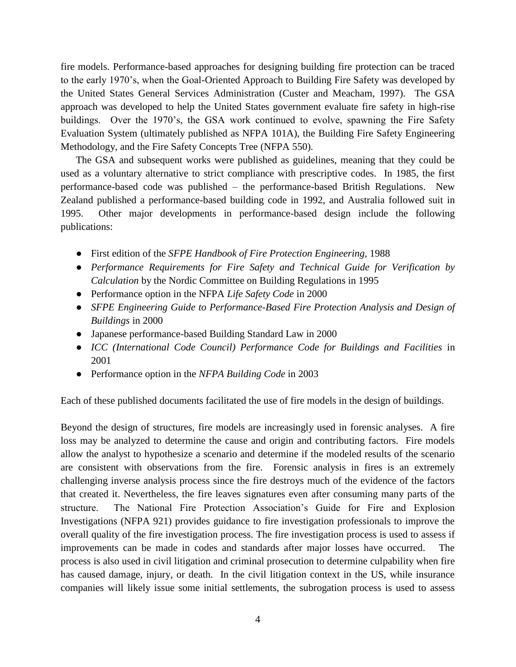fire models. Performance-based approaches for designing building fire protection can be traced to the early 1970's, when the Goal-Oriented Approach to Building Fire Safety was developed by the United States General Services Administration (Custer and Meacham, 1997). The GSA approach was developed to help the United States government evaluate fire safety in high-rise buildings. Over the 1970's, the GSA work continued to evolve, spawning the Fire Safety Evaluation System (ultimately published as NFPA 101A), the Building Fire Safety Engineering Methodology, and the Fire Safety Concepts Tree (NFPA 550).

The GSA and subsequent works were published as guidelines, meaning that they could be used as a voluntary alternative to strict compliance with prescriptive codes. In 1985, the first performance-based code was published – the performance-based British Regulations. New Zealand published a performance-based building code in 1992, and Australia followed suit in 1995. Other major developments in performance-based design include the following publications:

- First edition of the *SFPE Handbook of Fire Protection Engineering,* 1988
- **•** *Performance Requirements for Fire Safety and Technical Guide for Verification by Calculation* by the Nordic Committee on Building Regulations in 1995
- Performance option in the NFPA *Life Safety Code* in 2000
- *SFPE Engineering Guide to Performance-Based Fire Protection Analysis and Design of Buildings* in 2000
- Japanese performance-based Building Standard Law in 2000
- *ICC (International Code Council) Performance Code for Buildings and Facilities* in 2001
- Performance option in the *NFPA Building Code* in 2003

Each of these published documents facilitated the use of fire models in the design of buildings.

Beyond the design of structures, fire models are increasingly used in forensic analyses. A fire loss may be analyzed to determine the cause and origin and contributing factors. Fire models allow the analyst to hypothesize a scenario and determine if the modeled results of the scenario are consistent with observations from the fire. Forensic analysis in fires is an extremely challenging inverse analysis process since the fire destroys much of the evidence of the factors that created it. Nevertheless, the fire leaves signatures even after consuming many parts of the structure. The National Fire Protection Association's Guide for Fire and Explosion Investigations (NFPA 921) provides guidance to fire investigation professionals to improve the overall quality of the fire investigation process. The fire investigation process is used to assess if improvements can be made in codes and standards after major losses have occurred. The process is also used in civil litigation and criminal prosecution to determine culpability when fire has caused damage, injury, or death. In the civil litigation context in the US, while insurance companies will likely issue some initial settlements, the subrogation process is used to assess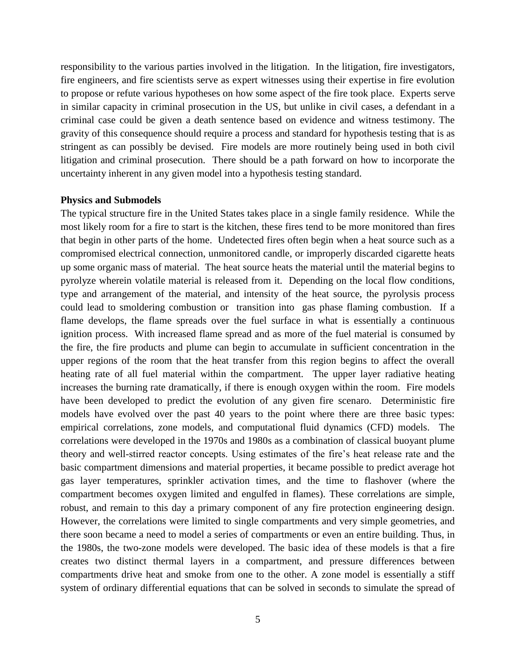responsibility to the various parties involved in the litigation. In the litigation, fire investigators, fire engineers, and fire scientists serve as expert witnesses using their expertise in fire evolution to propose or refute various hypotheses on how some aspect of the fire took place. Experts serve in similar capacity in criminal prosecution in the US, but unlike in civil cases, a defendant in a criminal case could be given a death sentence based on evidence and witness testimony. The gravity of this consequence should require a process and standard for hypothesis testing that is as stringent as can possibly be devised. Fire models are more routinely being used in both civil litigation and criminal prosecution. There should be a path forward on how to incorporate the uncertainty inherent in any given model into a hypothesis testing standard.

# **Physics and Submodels**

The typical structure fire in the United States takes place in a single family residence. While the most likely room for a fire to start is the kitchen, these fires tend to be more monitored than fires that begin in other parts of the home. Undetected fires often begin when a heat source such as a compromised electrical connection, unmonitored candle, or improperly discarded cigarette heats up some organic mass of material. The heat source heats the material until the material begins to pyrolyze wherein volatile material is released from it. Depending on the local flow conditions, type and arrangement of the material, and intensity of the heat source, the pyrolysis process could lead to smoldering combustion or transition into gas phase flaming combustion. If a flame develops, the flame spreads over the fuel surface in what is essentially a continuous ignition process. With increased flame spread and as more of the fuel material is consumed by the fire, the fire products and plume can begin to accumulate in sufficient concentration in the upper regions of the room that the heat transfer from this region begins to affect the overall heating rate of all fuel material within the compartment. The upper layer radiative heating increases the burning rate dramatically, if there is enough oxygen within the room. Fire models have been developed to predict the evolution of any given fire scenaro. Deterministic fire models have evolved over the past 40 years to the point where there are three basic types: empirical correlations, zone models, and computational fluid dynamics (CFD) models. The correlations were developed in the 1970s and 1980s as a combination of classical buoyant plume theory and well-stirred reactor concepts. Using estimates of the fire's heat release rate and the basic compartment dimensions and material properties, it became possible to predict average hot gas layer temperatures, sprinkler activation times, and the time to flashover (where the compartment becomes oxygen limited and engulfed in flames). These correlations are simple, robust, and remain to this day a primary component of any fire protection engineering design. However, the correlations were limited to single compartments and very simple geometries, and there soon became a need to model a series of compartments or even an entire building. Thus, in the 1980s, the two-zone models were developed. The basic idea of these models is that a fire creates two distinct thermal layers in a compartment, and pressure differences between compartments drive heat and smoke from one to the other. A zone model is essentially a stiff system of ordinary differential equations that can be solved in seconds to simulate the spread of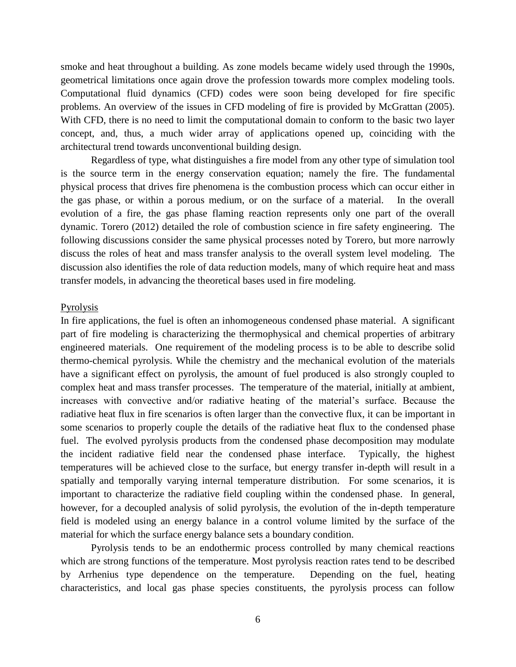smoke and heat throughout a building. As zone models became widely used through the 1990s, geometrical limitations once again drove the profession towards more complex modeling tools. Computational fluid dynamics (CFD) codes were soon being developed for fire specific problems. An overview of the issues in CFD modeling of fire is provided by McGrattan (2005). With CFD, there is no need to limit the computational domain to conform to the basic two layer concept, and, thus, a much wider array of applications opened up, coinciding with the architectural trend towards unconventional building design.

Regardless of type, what distinguishes a fire model from any other type of simulation tool is the source term in the energy conservation equation; namely the fire. The fundamental physical process that drives fire phenomena is the combustion process which can occur either in the gas phase, or within a porous medium, or on the surface of a material. In the overall evolution of a fire, the gas phase flaming reaction represents only one part of the overall dynamic. Torero (2012) detailed the role of combustion science in fire safety engineering. The following discussions consider the same physical processes noted by Torero, but more narrowly discuss the roles of heat and mass transfer analysis to the overall system level modeling. The discussion also identifies the role of data reduction models, many of which require heat and mass transfer models, in advancing the theoretical bases used in fire modeling.

#### Pyrolysis

In fire applications, the fuel is often an inhomogeneous condensed phase material. A significant part of fire modeling is characterizing the thermophysical and chemical properties of arbitrary engineered materials. One requirement of the modeling process is to be able to describe solid thermo-chemical pyrolysis. While the chemistry and the mechanical evolution of the materials have a significant effect on pyrolysis, the amount of fuel produced is also strongly coupled to complex heat and mass transfer processes. The temperature of the material, initially at ambient, increases with convective and/or radiative heating of the material's surface. Because the radiative heat flux in fire scenarios is often larger than the convective flux, it can be important in some scenarios to properly couple the details of the radiative heat flux to the condensed phase fuel. The evolved pyrolysis products from the condensed phase decomposition may modulate the incident radiative field near the condensed phase interface. Typically, the highest temperatures will be achieved close to the surface, but energy transfer in-depth will result in a spatially and temporally varying internal temperature distribution. For some scenarios, it is important to characterize the radiative field coupling within the condensed phase. In general, however, for a decoupled analysis of solid pyrolysis, the evolution of the in-depth temperature field is modeled using an energy balance in a control volume limited by the surface of the material for which the surface energy balance sets a boundary condition.

Pyrolysis tends to be an endothermic process controlled by many chemical reactions which are strong functions of the temperature. Most pyrolysis reaction rates tend to be described by Arrhenius type dependence on the temperature. Depending on the fuel, heating characteristics, and local gas phase species constituents, the pyrolysis process can follow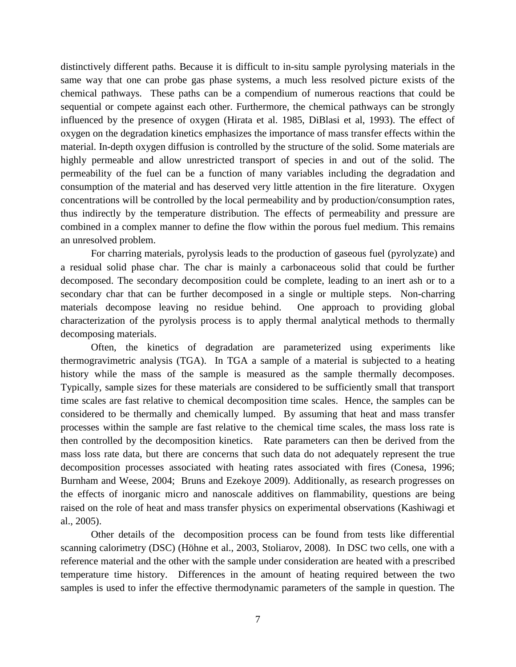distinctively different paths. Because it is difficult to in-situ sample pyrolysing materials in the same way that one can probe gas phase systems, a much less resolved picture exists of the chemical pathways. These paths can be a compendium of numerous reactions that could be sequential or compete against each other. Furthermore, the chemical pathways can be strongly influenced by the presence of oxygen (Hirata et al. 1985, DiBlasi et al, 1993). The effect of oxygen on the degradation kinetics emphasizes the importance of mass transfer effects within the material. In-depth oxygen diffusion is controlled by the structure of the solid. Some materials are highly permeable and allow unrestricted transport of species in and out of the solid. The permeability of the fuel can be a function of many variables including the degradation and consumption of the material and has deserved very little attention in the fire literature. Oxygen concentrations will be controlled by the local permeability and by production/consumption rates, thus indirectly by the temperature distribution. The effects of permeability and pressure are combined in a complex manner to define the flow within the porous fuel medium. This remains an unresolved problem.

For charring materials, pyrolysis leads to the production of gaseous fuel (pyrolyzate) and a residual solid phase char. The char is mainly a carbonaceous solid that could be further decomposed. The secondary decomposition could be complete, leading to an inert ash or to a secondary char that can be further decomposed in a single or multiple steps. Non-charring materials decompose leaving no residue behind. One approach to providing global characterization of the pyrolysis process is to apply thermal analytical methods to thermally decomposing materials.

Often, the kinetics of degradation are parameterized using experiments like thermogravimetric analysis (TGA). In TGA a sample of a material is subjected to a heating history while the mass of the sample is measured as the sample thermally decomposes. Typically, sample sizes for these materials are considered to be sufficiently small that transport time scales are fast relative to chemical decomposition time scales. Hence, the samples can be considered to be thermally and chemically lumped. By assuming that heat and mass transfer processes within the sample are fast relative to the chemical time scales, the mass loss rate is then controlled by the decomposition kinetics. Rate parameters can then be derived from the mass loss rate data, but there are concerns that such data do not adequately represent the true decomposition processes associated with heating rates associated with fires (Conesa, 1996; Burnham and Weese, 2004; Bruns and Ezekoye 2009). Additionally, as research progresses on the effects of inorganic micro and nanoscale additives on flammability, questions are being raised on the role of heat and mass transfer physics on experimental observations (Kashiwagi et al., 2005).

Other details of the decomposition process can be found from tests like differential scanning calorimetry (DSC) (Höhne et al., 2003, Stoliarov, 2008). In DSC two cells, one with a reference material and the other with the sample under consideration are heated with a prescribed temperature time history. Differences in the amount of heating required between the two samples is used to infer the effective thermodynamic parameters of the sample in question. The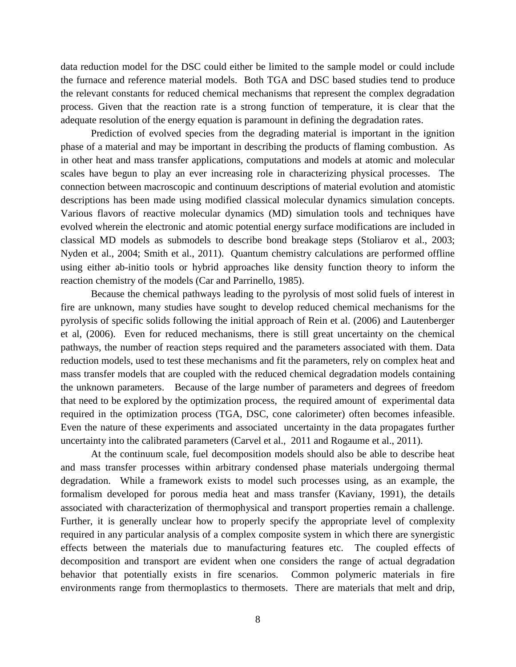data reduction model for the DSC could either be limited to the sample model or could include the furnace and reference material models. Both TGA and DSC based studies tend to produce the relevant constants for reduced chemical mechanisms that represent the complex degradation process. Given that the reaction rate is a strong function of temperature, it is clear that the adequate resolution of the energy equation is paramount in defining the degradation rates.

Prediction of evolved species from the degrading material is important in the ignition phase of a material and may be important in describing the products of flaming combustion. As in other heat and mass transfer applications, computations and models at atomic and molecular scales have begun to play an ever increasing role in characterizing physical processes. The connection between macroscopic and continuum descriptions of material evolution and atomistic descriptions has been made using modified classical molecular dynamics simulation concepts. Various flavors of reactive molecular dynamics (MD) simulation tools and techniques have evolved wherein the electronic and atomic potential energy surface modifications are included in classical MD models as submodels to describe bond breakage steps (Stoliarov et al., 2003; Nyden et al., 2004; Smith et al., 2011). Quantum chemistry calculations are performed offline using either ab-initio tools or hybrid approaches like density function theory to inform the reaction chemistry of the models (Car and Parrinello, 1985).

Because the chemical pathways leading to the pyrolysis of most solid fuels of interest in fire are unknown, many studies have sought to develop reduced chemical mechanisms for the pyrolysis of specific solids following the initial approach of Rein et al. (2006) and Lautenberger et al, (2006). Even for reduced mechanisms, there is still great uncertainty on the chemical pathways, the number of reaction steps required and the parameters associated with them. Data reduction models, used to test these mechanisms and fit the parameters, rely on complex heat and mass transfer models that are coupled with the reduced chemical degradation models containing the unknown parameters. Because of the large number of parameters and degrees of freedom that need to be explored by the optimization process, the required amount of experimental data required in the optimization process (TGA, DSC, cone calorimeter) often becomes infeasible. Even the nature of these experiments and associated uncertainty in the data propagates further uncertainty into the calibrated parameters (Carvel et al., 2011 and Rogaume et al., 2011).

At the continuum scale, fuel decomposition models should also be able to describe heat and mass transfer processes within arbitrary condensed phase materials undergoing thermal degradation. While a framework exists to model such processes using, as an example, the formalism developed for porous media heat and mass transfer (Kaviany, 1991), the details associated with characterization of thermophysical and transport properties remain a challenge. Further, it is generally unclear how to properly specify the appropriate level of complexity required in any particular analysis of a complex composite system in which there are synergistic effects between the materials due to manufacturing features etc. The coupled effects of decomposition and transport are evident when one considers the range of actual degradation behavior that potentially exists in fire scenarios. Common polymeric materials in fire environments range from thermoplastics to thermosets. There are materials that melt and drip,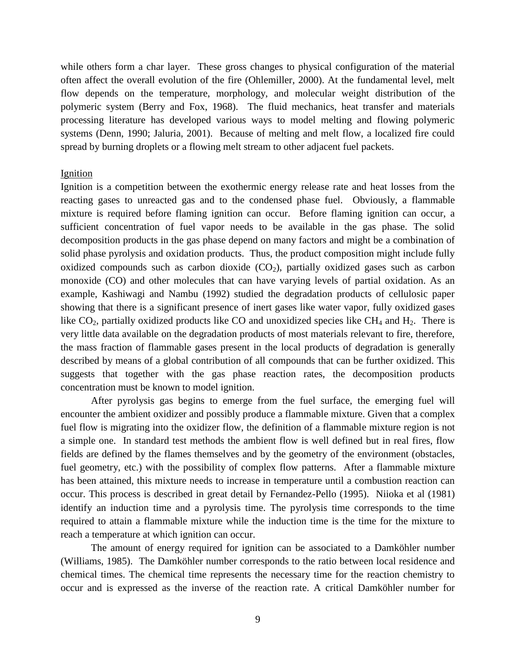while others form a char layer. These gross changes to physical configuration of the material often affect the overall evolution of the fire (Ohlemiller, 2000). At the fundamental level, melt flow depends on the temperature, morphology, and molecular weight distribution of the polymeric system (Berry and Fox, 1968). The fluid mechanics, heat transfer and materials processing literature has developed various ways to model melting and flowing polymeric systems (Denn, 1990; Jaluria, 2001). Because of melting and melt flow, a localized fire could spread by burning droplets or a flowing melt stream to other adjacent fuel packets.

#### Ignition

Ignition is a competition between the exothermic energy release rate and heat losses from the reacting gases to unreacted gas and to the condensed phase fuel. Obviously, a flammable mixture is required before flaming ignition can occur. Before flaming ignition can occur, a sufficient concentration of fuel vapor needs to be available in the gas phase. The solid decomposition products in the gas phase depend on many factors and might be a combination of solid phase pyrolysis and oxidation products. Thus, the product composition might include fully oxidized compounds such as carbon dioxide  $(CO<sub>2</sub>)$ , partially oxidized gases such as carbon monoxide (CO) and other molecules that can have varying levels of partial oxidation. As an example, Kashiwagi and Nambu (1992) studied the degradation products of cellulosic paper showing that there is a significant presence of inert gases like water vapor, fully oxidized gases like  $CO_2$ , partially oxidized products like CO and unoxidized species like CH<sub>4</sub> and H<sub>2</sub>. There is very little data available on the degradation products of most materials relevant to fire, therefore, the mass fraction of flammable gases present in the local products of degradation is generally described by means of a global contribution of all compounds that can be further oxidized. This suggests that together with the gas phase reaction rates, the decomposition products concentration must be known to model ignition.

After pyrolysis gas begins to emerge from the fuel surface, the emerging fuel will encounter the ambient oxidizer and possibly produce a flammable mixture. Given that a complex fuel flow is migrating into the oxidizer flow, the definition of a flammable mixture region is not a simple one. In standard test methods the ambient flow is well defined but in real fires, flow fields are defined by the flames themselves and by the geometry of the environment (obstacles, fuel geometry, etc.) with the possibility of complex flow patterns. After a flammable mixture has been attained, this mixture needs to increase in temperature until a combustion reaction can occur. This process is described in great detail by Fernandez-Pello (1995). Niioka et al (1981) identify an induction time and a pyrolysis time. The pyrolysis time corresponds to the time required to attain a flammable mixture while the induction time is the time for the mixture to reach a temperature at which ignition can occur.

The amount of energy required for ignition can be associated to a Damköhler number (Williams, 1985). The Damköhler number corresponds to the ratio between local residence and chemical times. The chemical time represents the necessary time for the reaction chemistry to occur and is expressed as the inverse of the reaction rate. A critical Damköhler number for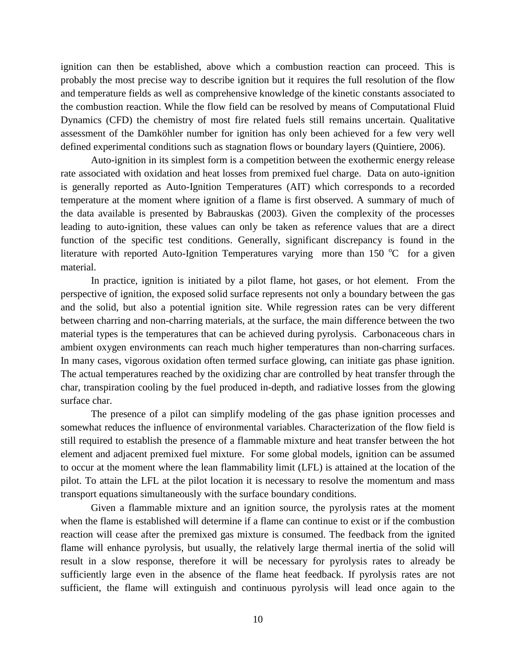ignition can then be established, above which a combustion reaction can proceed. This is probably the most precise way to describe ignition but it requires the full resolution of the flow and temperature fields as well as comprehensive knowledge of the kinetic constants associated to the combustion reaction. While the flow field can be resolved by means of Computational Fluid Dynamics (CFD) the chemistry of most fire related fuels still remains uncertain. Qualitative assessment of the Damköhler number for ignition has only been achieved for a few very well defined experimental conditions such as stagnation flows or boundary layers (Quintiere, 2006).

Auto-ignition in its simplest form is a competition between the exothermic energy release rate associated with oxidation and heat losses from premixed fuel charge. Data on auto-ignition is generally reported as Auto-Ignition Temperatures (AIT) which corresponds to a recorded temperature at the moment where ignition of a flame is first observed. A summary of much of the data available is presented by Babrauskas (2003). Given the complexity of the processes leading to auto-ignition, these values can only be taken as reference values that are a direct function of the specific test conditions. Generally, significant discrepancy is found in the literature with reported Auto-Ignition Temperatures varying more than  $150\text{ °C}$  for a given material.

In practice, ignition is initiated by a pilot flame, hot gases, or hot element. From the perspective of ignition, the exposed solid surface represents not only a boundary between the gas and the solid, but also a potential ignition site. While regression rates can be very different between charring and non-charring materials, at the surface, the main difference between the two material types is the temperatures that can be achieved during pyrolysis. Carbonaceous chars in ambient oxygen environments can reach much higher temperatures than non-charring surfaces. In many cases, vigorous oxidation often termed surface glowing, can initiate gas phase ignition. The actual temperatures reached by the oxidizing char are controlled by heat transfer through the char, transpiration cooling by the fuel produced in-depth, and radiative losses from the glowing surface char.

The presence of a pilot can simplify modeling of the gas phase ignition processes and somewhat reduces the influence of environmental variables. Characterization of the flow field is still required to establish the presence of a flammable mixture and heat transfer between the hot element and adjacent premixed fuel mixture. For some global models, ignition can be assumed to occur at the moment where the lean flammability limit (LFL) is attained at the location of the pilot. To attain the LFL at the pilot location it is necessary to resolve the momentum and mass transport equations simultaneously with the surface boundary conditions.

Given a flammable mixture and an ignition source, the pyrolysis rates at the moment when the flame is established will determine if a flame can continue to exist or if the combustion reaction will cease after the premixed gas mixture is consumed. The feedback from the ignited flame will enhance pyrolysis, but usually, the relatively large thermal inertia of the solid will result in a slow response, therefore it will be necessary for pyrolysis rates to already be sufficiently large even in the absence of the flame heat feedback. If pyrolysis rates are not sufficient, the flame will extinguish and continuous pyrolysis will lead once again to the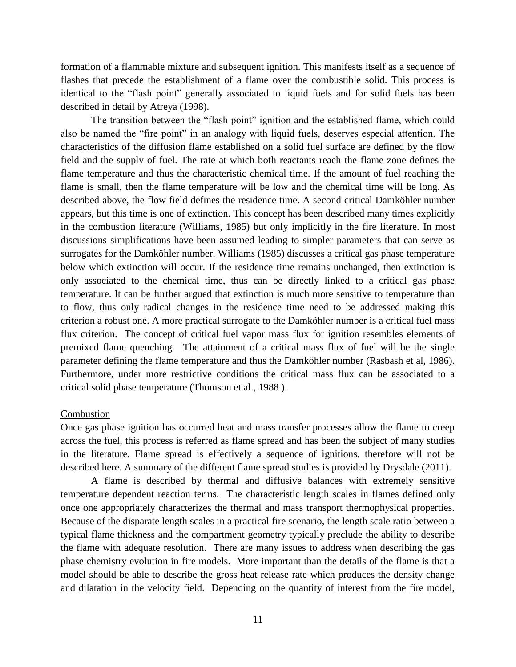formation of a flammable mixture and subsequent ignition. This manifests itself as a sequence of flashes that precede the establishment of a flame over the combustible solid. This process is identical to the "flash point" generally associated to liquid fuels and for solid fuels has been described in detail by Atreya (1998).

The transition between the "flash point" ignition and the established flame, which could also be named the "fire point" in an analogy with liquid fuels, deserves especial attention. The characteristics of the diffusion flame established on a solid fuel surface are defined by the flow field and the supply of fuel. The rate at which both reactants reach the flame zone defines the flame temperature and thus the characteristic chemical time. If the amount of fuel reaching the flame is small, then the flame temperature will be low and the chemical time will be long. As described above, the flow field defines the residence time. A second critical Damköhler number appears, but this time is one of extinction. This concept has been described many times explicitly in the combustion literature (Williams, 1985) but only implicitly in the fire literature. In most discussions simplifications have been assumed leading to simpler parameters that can serve as surrogates for the Damköhler number. Williams (1985) discusses a critical gas phase temperature below which extinction will occur. If the residence time remains unchanged, then extinction is only associated to the chemical time, thus can be directly linked to a critical gas phase temperature. It can be further argued that extinction is much more sensitive to temperature than to flow, thus only radical changes in the residence time need to be addressed making this criterion a robust one. A more practical surrogate to the Damköhler number is a critical fuel mass flux criterion. The concept of critical fuel vapor mass flux for ignition resembles elements of premixed flame quenching. The attainment of a critical mass flux of fuel will be the single parameter defining the flame temperature and thus the Damköhler number (Rasbash et al, 1986). Furthermore, under more restrictive conditions the critical mass flux can be associated to a critical solid phase temperature (Thomson et al., 1988 ).

# Combustion

Once gas phase ignition has occurred heat and mass transfer processes allow the flame to creep across the fuel, this process is referred as flame spread and has been the subject of many studies in the literature. Flame spread is effectively a sequence of ignitions, therefore will not be described here. A summary of the different flame spread studies is provided by Drysdale (2011).

A flame is described by thermal and diffusive balances with extremely sensitive temperature dependent reaction terms. The characteristic length scales in flames defined only once one appropriately characterizes the thermal and mass transport thermophysical properties. Because of the disparate length scales in a practical fire scenario, the length scale ratio between a typical flame thickness and the compartment geometry typically preclude the ability to describe the flame with adequate resolution. There are many issues to address when describing the gas phase chemistry evolution in fire models. More important than the details of the flame is that a model should be able to describe the gross heat release rate which produces the density change and dilatation in the velocity field. Depending on the quantity of interest from the fire model,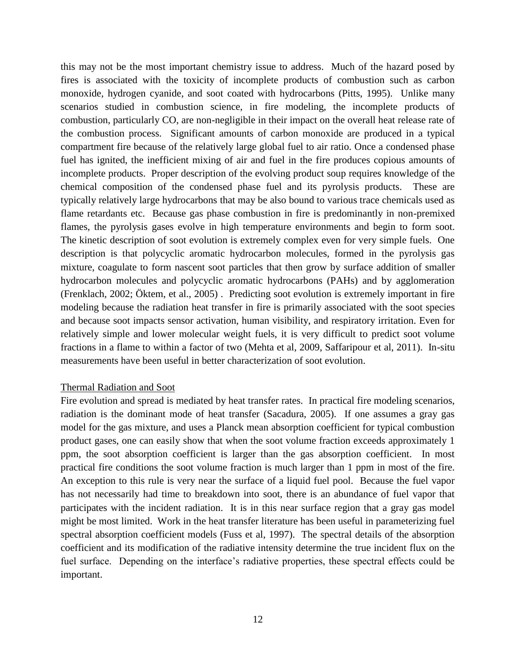this may not be the most important chemistry issue to address. Much of the hazard posed by fires is associated with the toxicity of incomplete products of combustion such as carbon monoxide, hydrogen cyanide, and soot coated with hydrocarbons (Pitts, 1995). Unlike many scenarios studied in combustion science, in fire modeling, the incomplete products of combustion, particularly CO, are non-negligible in their impact on the overall heat release rate of the combustion process. Significant amounts of carbon monoxide are produced in a typical compartment fire because of the relatively large global fuel to air ratio. Once a condensed phase fuel has ignited, the inefficient mixing of air and fuel in the fire produces copious amounts of incomplete products. Proper description of the evolving product soup requires knowledge of the chemical composition of the condensed phase fuel and its pyrolysis products. These are typically relatively large hydrocarbons that may be also bound to various trace chemicals used as flame retardants etc. Because gas phase combustion in fire is predominantly in non-premixed flames, the pyrolysis gases evolve in high temperature environments and begin to form soot. The kinetic description of soot evolution is extremely complex even for very simple fuels. One description is that polycyclic aromatic hydrocarbon molecules, formed in the pyrolysis gas mixture, coagulate to form nascent soot particles that then grow by surface addition of smaller hydrocarbon molecules and polycyclic aromatic hydrocarbons (PAHs) and by agglomeration (Frenklach, 2002; Öktem, et al., 2005) . Predicting soot evolution is extremely important in fire modeling because the radiation heat transfer in fire is primarily associated with the soot species and because soot impacts sensor activation, human visibility, and respiratory irritation. Even for relatively simple and lower molecular weight fuels, it is very difficult to predict soot volume fractions in a flame to within a factor of two (Mehta et al, 2009, Saffaripour et al, 2011). In-situ measurements have been useful in better characterization of soot evolution.

# Thermal Radiation and Soot

Fire evolution and spread is mediated by heat transfer rates. In practical fire modeling scenarios, radiation is the dominant mode of heat transfer (Sacadura, 2005). If one assumes a gray gas model for the gas mixture, and uses a Planck mean absorption coefficient for typical combustion product gases, one can easily show that when the soot volume fraction exceeds approximately 1 ppm, the soot absorption coefficient is larger than the gas absorption coefficient. In most practical fire conditions the soot volume fraction is much larger than 1 ppm in most of the fire. An exception to this rule is very near the surface of a liquid fuel pool. Because the fuel vapor has not necessarily had time to breakdown into soot, there is an abundance of fuel vapor that participates with the incident radiation. It is in this near surface region that a gray gas model might be most limited. Work in the heat transfer literature has been useful in parameterizing fuel spectral absorption coefficient models (Fuss et al, 1997). The spectral details of the absorption coefficient and its modification of the radiative intensity determine the true incident flux on the fuel surface. Depending on the interface's radiative properties, these spectral effects could be important.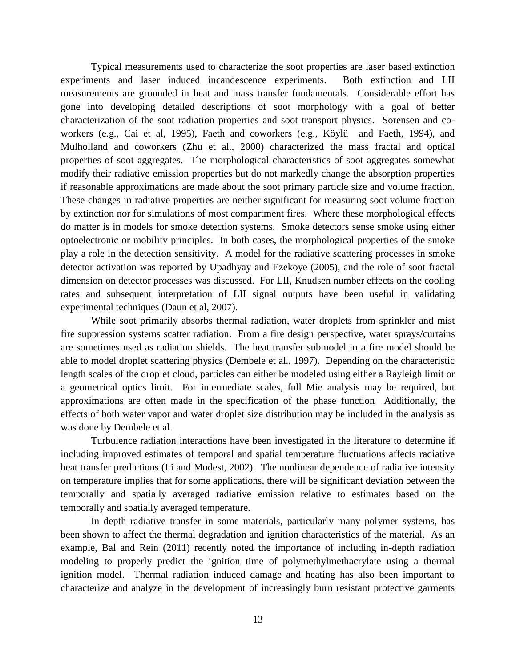Typical measurements used to characterize the soot properties are laser based extinction experiments and laser induced incandescence experiments. Both extinction and LII measurements are grounded in heat and mass transfer fundamentals. Considerable effort has gone into developing detailed descriptions of soot morphology with a goal of better characterization of the soot radiation properties and soot transport physics. Sorensen and coworkers (e.g., Cai et al, 1995), Faeth and coworkers (e.g., Köylü and Faeth, 1994), and Mulholland and coworkers (Zhu et al., 2000) characterized the mass fractal and optical properties of soot aggregates. The morphological characteristics of soot aggregates somewhat modify their radiative emission properties but do not markedly change the absorption properties if reasonable approximations are made about the soot primary particle size and volume fraction. These changes in radiative properties are neither significant for measuring soot volume fraction by extinction nor for simulations of most compartment fires. Where these morphological effects do matter is in models for smoke detection systems. Smoke detectors sense smoke using either optoelectronic or mobility principles. In both cases, the morphological properties of the smoke play a role in the detection sensitivity. A model for the radiative scattering processes in smoke detector activation was reported by Upadhyay and Ezekoye (2005), and the role of soot fractal dimension on detector processes was discussed. For LII, Knudsen number effects on the cooling rates and subsequent interpretation of LII signal outputs have been useful in validating experimental techniques (Daun et al, 2007).

While soot primarily absorbs thermal radiation, water droplets from sprinkler and mist fire suppression systems scatter radiation. From a fire design perspective, water sprays/curtains are sometimes used as radiation shields. The heat transfer submodel in a fire model should be able to model droplet scattering physics (Dembele et al., 1997). Depending on the characteristic length scales of the droplet cloud, particles can either be modeled using either a Rayleigh limit or a geometrical optics limit. For intermediate scales, full Mie analysis may be required, but approximations are often made in the specification of the phase function Additionally, the effects of both water vapor and water droplet size distribution may be included in the analysis as was done by Dembele et al.

Turbulence radiation interactions have been investigated in the literature to determine if including improved estimates of temporal and spatial temperature fluctuations affects radiative heat transfer predictions (Li and Modest, 2002). The nonlinear dependence of radiative intensity on temperature implies that for some applications, there will be significant deviation between the temporally and spatially averaged radiative emission relative to estimates based on the temporally and spatially averaged temperature.

In depth radiative transfer in some materials, particularly many polymer systems, has been shown to affect the thermal degradation and ignition characteristics of the material. As an example, Bal and Rein (2011) recently noted the importance of including in-depth radiation modeling to properly predict the ignition time of polymethylmethacrylate using a thermal ignition model. Thermal radiation induced damage and heating has also been important to characterize and analyze in the development of increasingly burn resistant protective garments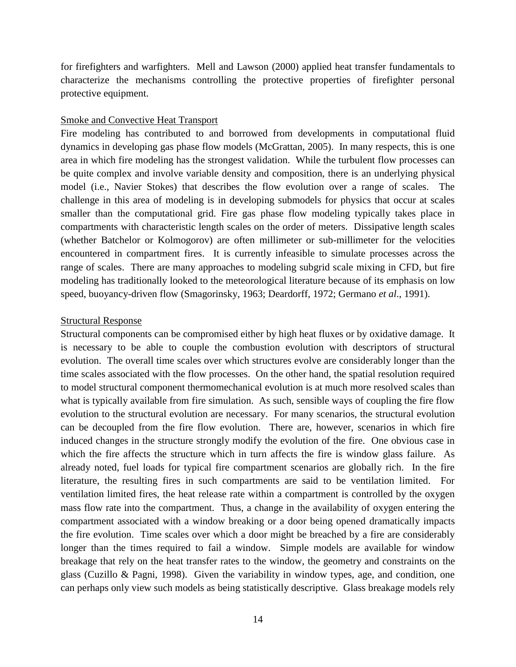for firefighters and warfighters. Mell and Lawson (2000) applied heat transfer fundamentals to characterize the mechanisms controlling the protective properties of firefighter personal protective equipment.

### Smoke and Convective Heat Transport

Fire modeling has contributed to and borrowed from developments in computational fluid dynamics in developing gas phase flow models (McGrattan, 2005). In many respects, this is one area in which fire modeling has the strongest validation. While the turbulent flow processes can be quite complex and involve variable density and composition, there is an underlying physical model (i.e., Navier Stokes) that describes the flow evolution over a range of scales. The challenge in this area of modeling is in developing submodels for physics that occur at scales smaller than the computational grid. Fire gas phase flow modeling typically takes place in compartments with characteristic length scales on the order of meters. Dissipative length scales (whether Batchelor or Kolmogorov) are often millimeter or sub-millimeter for the velocities encountered in compartment fires. It is currently infeasible to simulate processes across the range of scales. There are many approaches to modeling subgrid scale mixing in CFD, but fire modeling has traditionally looked to the meteorological literature because of its emphasis on low speed, buoyancy-driven flow (Smagorinsky, 1963; Deardorff, 1972; Germano *et al*., 1991).

### Structural Response

Structural components can be compromised either by high heat fluxes or by oxidative damage. It is necessary to be able to couple the combustion evolution with descriptors of structural evolution. The overall time scales over which structures evolve are considerably longer than the time scales associated with the flow processes. On the other hand, the spatial resolution required to model structural component thermomechanical evolution is at much more resolved scales than what is typically available from fire simulation. As such, sensible ways of coupling the fire flow evolution to the structural evolution are necessary. For many scenarios, the structural evolution can be decoupled from the fire flow evolution. There are, however, scenarios in which fire induced changes in the structure strongly modify the evolution of the fire. One obvious case in which the fire affects the structure which in turn affects the fire is window glass failure. As already noted, fuel loads for typical fire compartment scenarios are globally rich. In the fire literature, the resulting fires in such compartments are said to be ventilation limited. For ventilation limited fires, the heat release rate within a compartment is controlled by the oxygen mass flow rate into the compartment. Thus, a change in the availability of oxygen entering the compartment associated with a window breaking or a door being opened dramatically impacts the fire evolution. Time scales over which a door might be breached by a fire are considerably longer than the times required to fail a window. Simple models are available for window breakage that rely on the heat transfer rates to the window, the geometry and constraints on the glass (Cuzillo & Pagni, 1998). Given the variability in window types, age, and condition, one can perhaps only view such models as being statistically descriptive. Glass breakage models rely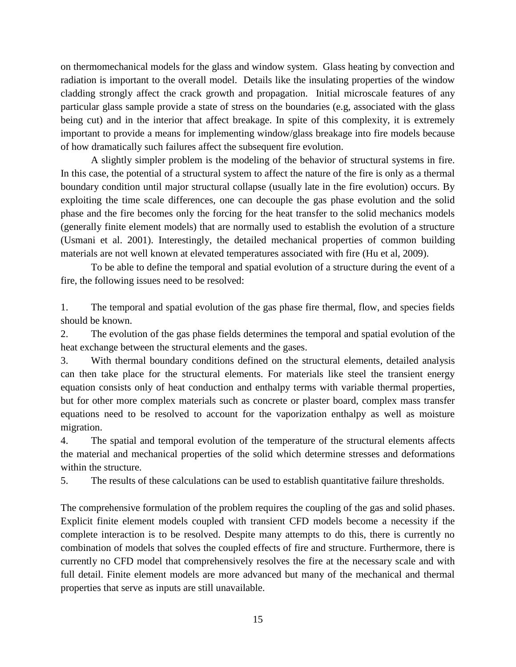on thermomechanical models for the glass and window system. Glass heating by convection and radiation is important to the overall model. Details like the insulating properties of the window cladding strongly affect the crack growth and propagation. Initial microscale features of any particular glass sample provide a state of stress on the boundaries (e.g, associated with the glass being cut) and in the interior that affect breakage. In spite of this complexity, it is extremely important to provide a means for implementing window/glass breakage into fire models because of how dramatically such failures affect the subsequent fire evolution.

A slightly simpler problem is the modeling of the behavior of structural systems in fire. In this case, the potential of a structural system to affect the nature of the fire is only as a thermal boundary condition until major structural collapse (usually late in the fire evolution) occurs. By exploiting the time scale differences, one can decouple the gas phase evolution and the solid phase and the fire becomes only the forcing for the heat transfer to the solid mechanics models (generally finite element models) that are normally used to establish the evolution of a structure (Usmani et al. 2001). Interestingly, the detailed mechanical properties of common building materials are not well known at elevated temperatures associated with fire (Hu et al, 2009).

To be able to define the temporal and spatial evolution of a structure during the event of a fire, the following issues need to be resolved:

1. The temporal and spatial evolution of the gas phase fire thermal, flow, and species fields should be known.

2. The evolution of the gas phase fields determines the temporal and spatial evolution of the heat exchange between the structural elements and the gases.

3. With thermal boundary conditions defined on the structural elements, detailed analysis can then take place for the structural elements. For materials like steel the transient energy equation consists only of heat conduction and enthalpy terms with variable thermal properties, but for other more complex materials such as concrete or plaster board, complex mass transfer equations need to be resolved to account for the vaporization enthalpy as well as moisture migration.

4. The spatial and temporal evolution of the temperature of the structural elements affects the material and mechanical properties of the solid which determine stresses and deformations within the structure.

5. The results of these calculations can be used to establish quantitative failure thresholds.

The comprehensive formulation of the problem requires the coupling of the gas and solid phases. Explicit finite element models coupled with transient CFD models become a necessity if the complete interaction is to be resolved. Despite many attempts to do this, there is currently no combination of models that solves the coupled effects of fire and structure. Furthermore, there is currently no CFD model that comprehensively resolves the fire at the necessary scale and with full detail. Finite element models are more advanced but many of the mechanical and thermal properties that serve as inputs are still unavailable.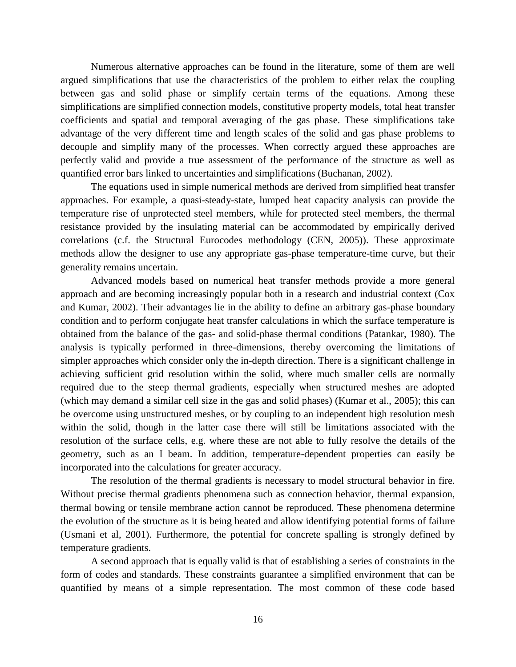Numerous alternative approaches can be found in the literature, some of them are well argued simplifications that use the characteristics of the problem to either relax the coupling between gas and solid phase or simplify certain terms of the equations. Among these simplifications are simplified connection models, constitutive property models, total heat transfer coefficients and spatial and temporal averaging of the gas phase. These simplifications take advantage of the very different time and length scales of the solid and gas phase problems to decouple and simplify many of the processes. When correctly argued these approaches are perfectly valid and provide a true assessment of the performance of the structure as well as quantified error bars linked to uncertainties and simplifications (Buchanan, 2002).

The equations used in simple numerical methods are derived from simplified heat transfer approaches. For example, a quasi-steady-state, lumped heat capacity analysis can provide the temperature rise of unprotected steel members, while for protected steel members, the thermal resistance provided by the insulating material can be accommodated by empirically derived correlations (c.f. the Structural Eurocodes methodology (CEN, 2005)). These approximate methods allow the designer to use any appropriate gas-phase temperature-time curve, but their generality remains uncertain.

Advanced models based on numerical heat transfer methods provide a more general approach and are becoming increasingly popular both in a research and industrial context (Cox and Kumar, 2002). Their advantages lie in the ability to define an arbitrary gas-phase boundary condition and to perform conjugate heat transfer calculations in which the surface temperature is obtained from the balance of the gas- and solid-phase thermal conditions (Patankar, 1980). The analysis is typically performed in three-dimensions, thereby overcoming the limitations of simpler approaches which consider only the in-depth direction. There is a significant challenge in achieving sufficient grid resolution within the solid, where much smaller cells are normally required due to the steep thermal gradients, especially when structured meshes are adopted (which may demand a similar cell size in the gas and solid phases) (Kumar et al., 2005); this can be overcome using unstructured meshes, or by coupling to an independent high resolution mesh within the solid, though in the latter case there will still be limitations associated with the resolution of the surface cells, e.g. where these are not able to fully resolve the details of the geometry, such as an I beam. In addition, temperature-dependent properties can easily be incorporated into the calculations for greater accuracy.

The resolution of the thermal gradients is necessary to model structural behavior in fire. Without precise thermal gradients phenomena such as connection behavior, thermal expansion, thermal bowing or tensile membrane action cannot be reproduced. These phenomena determine the evolution of the structure as it is being heated and allow identifying potential forms of failure (Usmani et al, 2001). Furthermore, the potential for concrete spalling is strongly defined by temperature gradients.

A second approach that is equally valid is that of establishing a series of constraints in the form of codes and standards. These constraints guarantee a simplified environment that can be quantified by means of a simple representation. The most common of these code based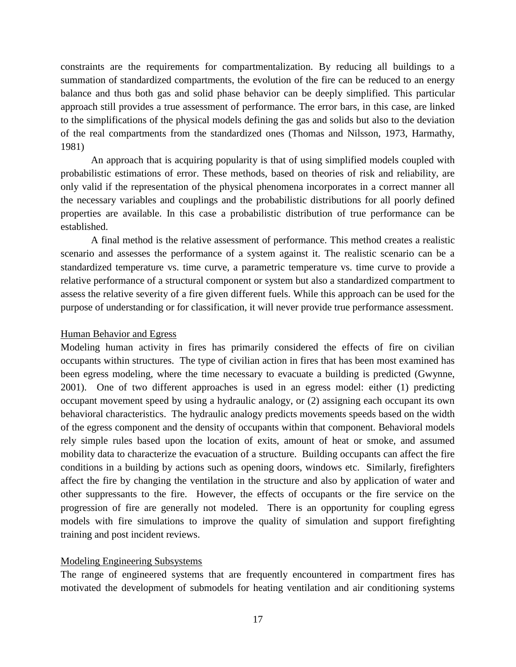constraints are the requirements for compartmentalization. By reducing all buildings to a summation of standardized compartments, the evolution of the fire can be reduced to an energy balance and thus both gas and solid phase behavior can be deeply simplified. This particular approach still provides a true assessment of performance. The error bars, in this case, are linked to the simplifications of the physical models defining the gas and solids but also to the deviation of the real compartments from the standardized ones (Thomas and Nilsson, 1973, Harmathy, 1981)

An approach that is acquiring popularity is that of using simplified models coupled with probabilistic estimations of error. These methods, based on theories of risk and reliability, are only valid if the representation of the physical phenomena incorporates in a correct manner all the necessary variables and couplings and the probabilistic distributions for all poorly defined properties are available. In this case a probabilistic distribution of true performance can be established.

A final method is the relative assessment of performance. This method creates a realistic scenario and assesses the performance of a system against it. The realistic scenario can be a standardized temperature vs. time curve, a parametric temperature vs. time curve to provide a relative performance of a structural component or system but also a standardized compartment to assess the relative severity of a fire given different fuels. While this approach can be used for the purpose of understanding or for classification, it will never provide true performance assessment.

# Human Behavior and Egress

Modeling human activity in fires has primarily considered the effects of fire on civilian occupants within structures. The type of civilian action in fires that has been most examined has been egress modeling, where the time necessary to evacuate a building is predicted (Gwynne, 2001). One of two different approaches is used in an egress model: either (1) predicting occupant movement speed by using a hydraulic analogy, or (2) assigning each occupant its own behavioral characteristics. The hydraulic analogy predicts movements speeds based on the width of the egress component and the density of occupants within that component. Behavioral models rely simple rules based upon the location of exits, amount of heat or smoke, and assumed mobility data to characterize the evacuation of a structure. Building occupants can affect the fire conditions in a building by actions such as opening doors, windows etc. Similarly, firefighters affect the fire by changing the ventilation in the structure and also by application of water and other suppressants to the fire. However, the effects of occupants or the fire service on the progression of fire are generally not modeled. There is an opportunity for coupling egress models with fire simulations to improve the quality of simulation and support firefighting training and post incident reviews.

# Modeling Engineering Subsystems

The range of engineered systems that are frequently encountered in compartment fires has motivated the development of submodels for heating ventilation and air conditioning systems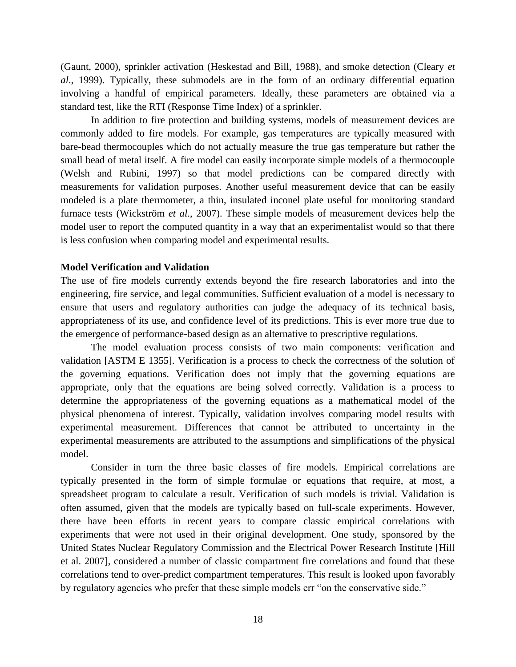(Gaunt, 2000), sprinkler activation (Heskestad and Bill, 1988), and smoke detection (Cleary *et al*., 1999). Typically, these submodels are in the form of an ordinary differential equation involving a handful of empirical parameters. Ideally, these parameters are obtained via a standard test, like the RTI (Response Time Index) of a sprinkler.

In addition to fire protection and building systems, models of measurement devices are commonly added to fire models. For example, gas temperatures are typically measured with bare-bead thermocouples which do not actually measure the true gas temperature but rather the small bead of metal itself. A fire model can easily incorporate simple models of a thermocouple (Welsh and Rubini, 1997) so that model predictions can be compared directly with measurements for validation purposes. Another useful measurement device that can be easily modeled is a plate thermometer, a thin, insulated inconel plate useful for monitoring standard furnace tests (Wickström *et al*., 2007). These simple models of measurement devices help the model user to report the computed quantity in a way that an experimentalist would so that there is less confusion when comparing model and experimental results.

### **Model Verification and Validation**

The use of fire models currently extends beyond the fire research laboratories and into the engineering, fire service, and legal communities. Sufficient evaluation of a model is necessary to ensure that users and regulatory authorities can judge the adequacy of its technical basis, appropriateness of its use, and confidence level of its predictions. This is ever more true due to the emergence of performance-based design as an alternative to prescriptive regulations.

The model evaluation process consists of two main components: verification and validation [ASTM E 1355]. Verification is a process to check the correctness of the solution of the governing equations. Verification does not imply that the governing equations are appropriate, only that the equations are being solved correctly. Validation is a process to determine the appropriateness of the governing equations as a mathematical model of the physical phenomena of interest. Typically, validation involves comparing model results with experimental measurement. Differences that cannot be attributed to uncertainty in the experimental measurements are attributed to the assumptions and simplifications of the physical model.

Consider in turn the three basic classes of fire models. Empirical correlations are typically presented in the form of simple formulae or equations that require, at most, a spreadsheet program to calculate a result. Verification of such models is trivial. Validation is often assumed, given that the models are typically based on full-scale experiments. However, there have been efforts in recent years to compare classic empirical correlations with experiments that were not used in their original development. One study, sponsored by the United States Nuclear Regulatory Commission and the Electrical Power Research Institute [Hill et al. 2007], considered a number of classic compartment fire correlations and found that these correlations tend to over-predict compartment temperatures. This result is looked upon favorably by regulatory agencies who prefer that these simple models err "on the conservative side."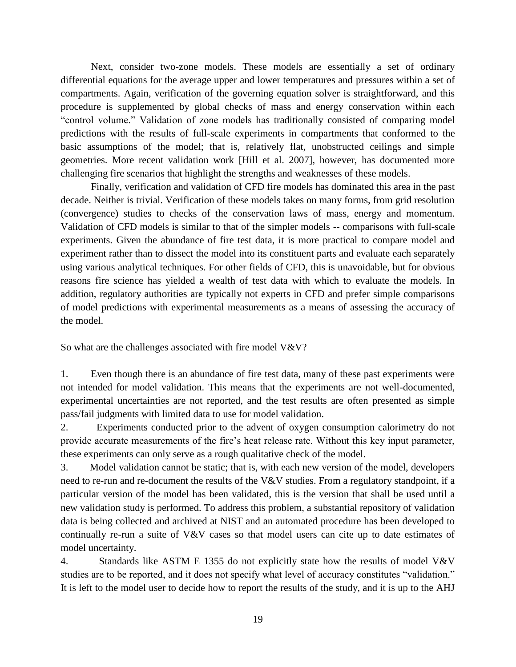Next, consider two-zone models. These models are essentially a set of ordinary differential equations for the average upper and lower temperatures and pressures within a set of compartments. Again, verification of the governing equation solver is straightforward, and this procedure is supplemented by global checks of mass and energy conservation within each "control volume." Validation of zone models has traditionally consisted of comparing model predictions with the results of full-scale experiments in compartments that conformed to the basic assumptions of the model; that is, relatively flat, unobstructed ceilings and simple geometries. More recent validation work [Hill et al. 2007], however, has documented more challenging fire scenarios that highlight the strengths and weaknesses of these models.

Finally, verification and validation of CFD fire models has dominated this area in the past decade. Neither is trivial. Verification of these models takes on many forms, from grid resolution (convergence) studies to checks of the conservation laws of mass, energy and momentum. Validation of CFD models is similar to that of the simpler models -- comparisons with full-scale experiments. Given the abundance of fire test data, it is more practical to compare model and experiment rather than to dissect the model into its constituent parts and evaluate each separately using various analytical techniques. For other fields of CFD, this is unavoidable, but for obvious reasons fire science has yielded a wealth of test data with which to evaluate the models. In addition, regulatory authorities are typically not experts in CFD and prefer simple comparisons of model predictions with experimental measurements as a means of assessing the accuracy of the model.

So what are the challenges associated with fire model V&V?

1. Even though there is an abundance of fire test data, many of these past experiments were not intended for model validation. This means that the experiments are not well-documented, experimental uncertainties are not reported, and the test results are often presented as simple pass/fail judgments with limited data to use for model validation.

2. Experiments conducted prior to the advent of oxygen consumption calorimetry do not provide accurate measurements of the fire's heat release rate. Without this key input parameter, these experiments can only serve as a rough qualitative check of the model.

3. Model validation cannot be static; that is, with each new version of the model, developers need to re-run and re-document the results of the V&V studies. From a regulatory standpoint, if a particular version of the model has been validated, this is the version that shall be used until a new validation study is performed. To address this problem, a substantial repository of validation data is being collected and archived at NIST and an automated procedure has been developed to continually re-run a suite of V&V cases so that model users can cite up to date estimates of model uncertainty.

4. Standards like ASTM E 1355 do not explicitly state how the results of model V&V studies are to be reported, and it does not specify what level of accuracy constitutes "validation." It is left to the model user to decide how to report the results of the study, and it is up to the AHJ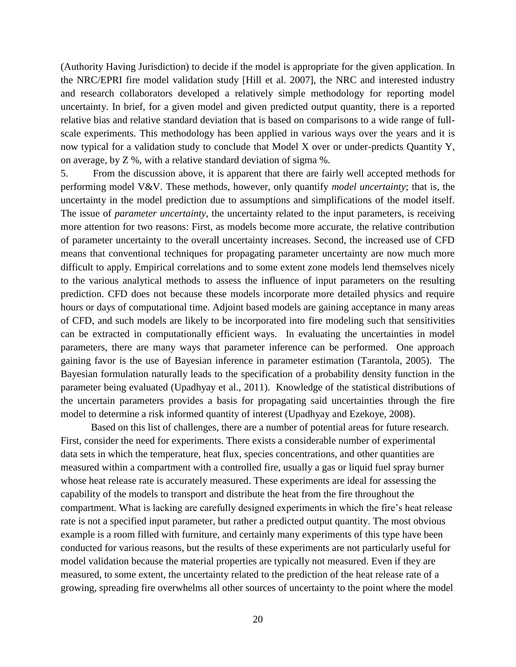(Authority Having Jurisdiction) to decide if the model is appropriate for the given application. In the NRC/EPRI fire model validation study [Hill et al. 2007], the NRC and interested industry and research collaborators developed a relatively simple methodology for reporting model uncertainty. In brief, for a given model and given predicted output quantity, there is a reported relative bias and relative standard deviation that is based on comparisons to a wide range of fullscale experiments. This methodology has been applied in various ways over the years and it is now typical for a validation study to conclude that Model X over or under-predicts Quantity Y, on average, by Z %, with a relative standard deviation of sigma %.

5. From the discussion above, it is apparent that there are fairly well accepted methods for performing model V&V. These methods, however, only quantify *model uncertainty*; that is, the uncertainty in the model prediction due to assumptions and simplifications of the model itself. The issue of *parameter uncertainty*, the uncertainty related to the input parameters, is receiving more attention for two reasons: First, as models become more accurate, the relative contribution of parameter uncertainty to the overall uncertainty increases. Second, the increased use of CFD means that conventional techniques for propagating parameter uncertainty are now much more difficult to apply. Empirical correlations and to some extent zone models lend themselves nicely to the various analytical methods to assess the influence of input parameters on the resulting prediction. CFD does not because these models incorporate more detailed physics and require hours or days of computational time. Adjoint based models are gaining acceptance in many areas of CFD, and such models are likely to be incorporated into fire modeling such that sensitivities can be extracted in computationally efficient ways. In evaluating the uncertainties in model parameters, there are many ways that parameter inference can be performed. One approach gaining favor is the use of Bayesian inference in parameter estimation (Tarantola, 2005). The Bayesian formulation naturally leads to the specification of a probability density function in the parameter being evaluated (Upadhyay et al., 2011). Knowledge of the statistical distributions of the uncertain parameters provides a basis for propagating said uncertainties through the fire model to determine a risk informed quantity of interest (Upadhyay and Ezekoye, 2008).

Based on this list of challenges, there are a number of potential areas for future research. First, consider the need for experiments. There exists a considerable number of experimental data sets in which the temperature, heat flux, species concentrations, and other quantities are measured within a compartment with a controlled fire, usually a gas or liquid fuel spray burner whose heat release rate is accurately measured. These experiments are ideal for assessing the capability of the models to transport and distribute the heat from the fire throughout the compartment. What is lacking are carefully designed experiments in which the fire's heat release rate is not a specified input parameter, but rather a predicted output quantity. The most obvious example is a room filled with furniture, and certainly many experiments of this type have been conducted for various reasons, but the results of these experiments are not particularly useful for model validation because the material properties are typically not measured. Even if they are measured, to some extent, the uncertainty related to the prediction of the heat release rate of a growing, spreading fire overwhelms all other sources of uncertainty to the point where the model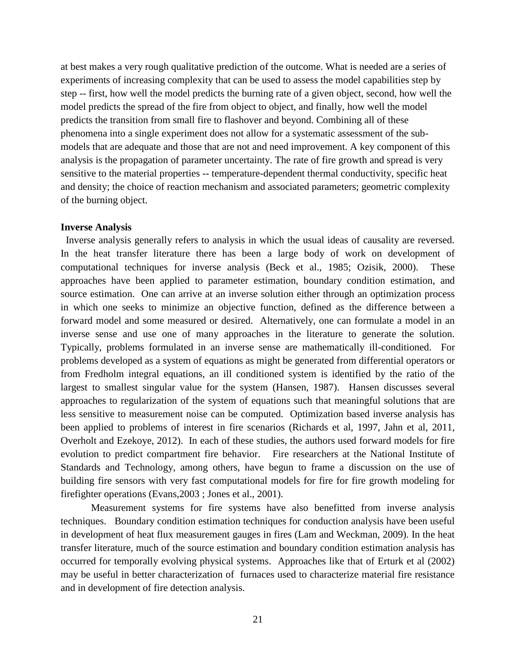at best makes a very rough qualitative prediction of the outcome. What is needed are a series of experiments of increasing complexity that can be used to assess the model capabilities step by step -- first, how well the model predicts the burning rate of a given object, second, how well the model predicts the spread of the fire from object to object, and finally, how well the model predicts the transition from small fire to flashover and beyond. Combining all of these phenomena into a single experiment does not allow for a systematic assessment of the submodels that are adequate and those that are not and need improvement. A key component of this analysis is the propagation of parameter uncertainty. The rate of fire growth and spread is very sensitive to the material properties -- temperature-dependent thermal conductivity, specific heat and density; the choice of reaction mechanism and associated parameters; geometric complexity of the burning object.

### **Inverse Analysis**

 Inverse analysis generally refers to analysis in which the usual ideas of causality are reversed. In the heat transfer literature there has been a large body of work on development of computational techniques for inverse analysis (Beck et al., 1985; Ozisik, 2000). These approaches have been applied to parameter estimation, boundary condition estimation, and source estimation. One can arrive at an inverse solution either through an optimization process in which one seeks to minimize an objective function, defined as the difference between a forward model and some measured or desired. Alternatively, one can formulate a model in an inverse sense and use one of many approaches in the literature to generate the solution. Typically, problems formulated in an inverse sense are mathematically ill-conditioned. For problems developed as a system of equations as might be generated from differential operators or from Fredholm integral equations, an ill conditioned system is identified by the ratio of the largest to smallest singular value for the system (Hansen, 1987). Hansen discusses several approaches to regularization of the system of equations such that meaningful solutions that are less sensitive to measurement noise can be computed. Optimization based inverse analysis has been applied to problems of interest in fire scenarios (Richards et al, 1997, Jahn et al, 2011, Overholt and Ezekoye, 2012). In each of these studies, the authors used forward models for fire evolution to predict compartment fire behavior. Fire researchers at the National Institute of Standards and Technology, among others, have begun to frame a discussion on the use of building fire sensors with very fast computational models for fire for fire growth modeling for firefighter operations (Evans,2003 ; Jones et al., 2001).

Measurement systems for fire systems have also benefitted from inverse analysis techniques. Boundary condition estimation techniques for conduction analysis have been useful in development of heat flux measurement gauges in fires (Lam and Weckman, 2009). In the heat transfer literature, much of the source estimation and boundary condition estimation analysis has occurred for temporally evolving physical systems. Approaches like that of Erturk et al (2002) may be useful in better characterization of furnaces used to characterize material fire resistance and in development of fire detection analysis.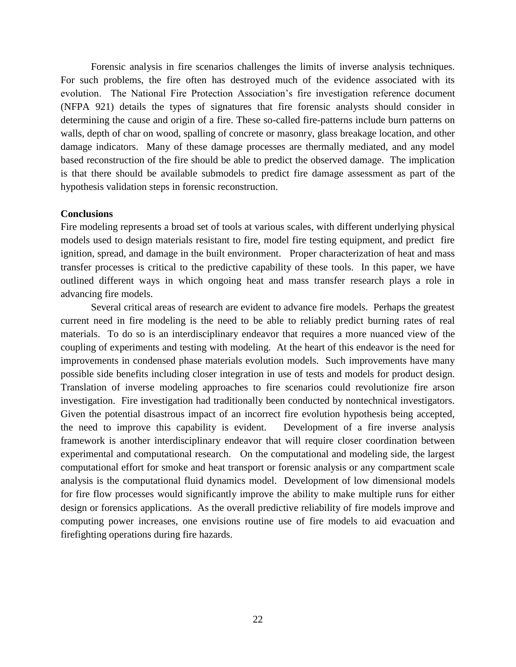Forensic analysis in fire scenarios challenges the limits of inverse analysis techniques. For such problems, the fire often has destroyed much of the evidence associated with its evolution. The National Fire Protection Association's fire investigation reference document (NFPA 921) details the types of signatures that fire forensic analysts should consider in determining the cause and origin of a fire. These so-called fire-patterns include burn patterns on walls, depth of char on wood, spalling of concrete or masonry, glass breakage location, and other damage indicators. Many of these damage processes are thermally mediated, and any model based reconstruction of the fire should be able to predict the observed damage. The implication is that there should be available submodels to predict fire damage assessment as part of the hypothesis validation steps in forensic reconstruction.

### **Conclusions**

Fire modeling represents a broad set of tools at various scales, with different underlying physical models used to design materials resistant to fire, model fire testing equipment, and predict fire ignition, spread, and damage in the built environment. Proper characterization of heat and mass transfer processes is critical to the predictive capability of these tools. In this paper, we have outlined different ways in which ongoing heat and mass transfer research plays a role in advancing fire models.

Several critical areas of research are evident to advance fire models. Perhaps the greatest current need in fire modeling is the need to be able to reliably predict burning rates of real materials. To do so is an interdisciplinary endeavor that requires a more nuanced view of the coupling of experiments and testing with modeling. At the heart of this endeavor is the need for improvements in condensed phase materials evolution models. Such improvements have many possible side benefits including closer integration in use of tests and models for product design. Translation of inverse modeling approaches to fire scenarios could revolutionize fire arson investigation. Fire investigation had traditionally been conducted by nontechnical investigators. Given the potential disastrous impact of an incorrect fire evolution hypothesis being accepted, the need to improve this capability is evident. Development of a fire inverse analysis framework is another interdisciplinary endeavor that will require closer coordination between experimental and computational research. On the computational and modeling side, the largest computational effort for smoke and heat transport or forensic analysis or any compartment scale analysis is the computational fluid dynamics model. Development of low dimensional models for fire flow processes would significantly improve the ability to make multiple runs for either design or forensics applications. As the overall predictive reliability of fire models improve and computing power increases, one envisions routine use of fire models to aid evacuation and firefighting operations during fire hazards.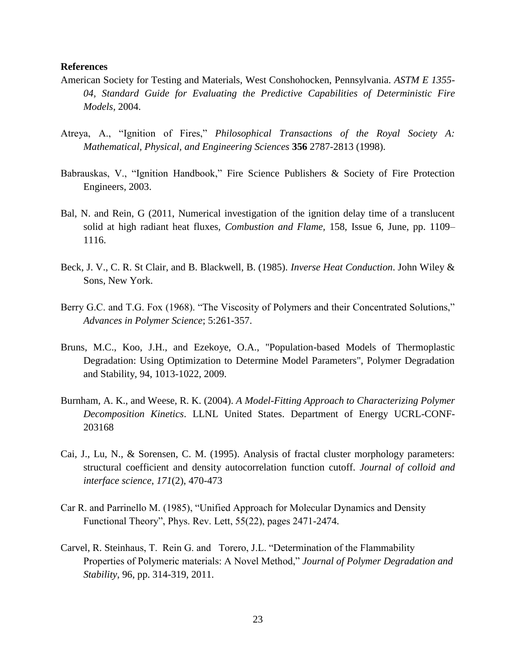# **References**

- American Society for Testing and Materials, West Conshohocken, Pennsylvania. *ASTM E 1355- 04, Standard Guide for Evaluating the Predictive Capabilities of Deterministic Fire Models*, 2004.
- Atreya, A., "Ignition of Fires," *Philosophical Transactions of the Royal Society A: Mathematical, Physical, and Engineering Sciences* **356** 2787-2813 (1998).
- Babrauskas, V., "Ignition Handbook," Fire Science Publishers & Society of Fire Protection Engineers, 2003.
- Bal, N. and Rein, G (2011, Numerical investigation of the ignition delay time of a translucent solid at high radiant heat fluxes, *Combustion and Flame,* 158, Issue 6, June, pp. 1109– 1116.
- Beck, J. V., C. R. St Clair, and B. Blackwell, B. (1985). *Inverse Heat Conduction*. John Wiley & Sons, New York.
- Berry G.C. and T.G. Fox (1968). "The Viscosity of Polymers and their Concentrated Solutions," *Advances in Polymer Science*; 5:261-357.
- Bruns, M.C., Koo, J.H., and Ezekoye, O.A., "Population-based Models of Thermoplastic Degradation: Using Optimization to Determine Model Parameters", Polymer Degradation and Stability, 94, 1013-1022, 2009.
- Burnham, A. K., and Weese, R. K. (2004). *A Model-Fitting Approach to Characterizing Polymer Decomposition Kinetics*. LLNL United States. Department of Energy UCRL-CONF-203168
- Cai, J., Lu, N., & Sorensen, C. M. (1995). Analysis of fractal cluster morphology parameters: structural coefficient and density autocorrelation function cutoff. *Journal of colloid and interface science*, *171*(2), 470-473
- Car R. and Parrinello M. (1985), "Unified Approach for Molecular Dynamics and Density Functional Theory", Phys. Rev. Lett, 55(22), pages 2471-2474.
- Carvel, R. Steinhaus, T. Rein G. and Torero, J.L. "Determination of the Flammability Properties of Polymeric materials: A Novel Method," *Journal of Polymer Degradation and Stability*, 96, pp. 314-319, 2011.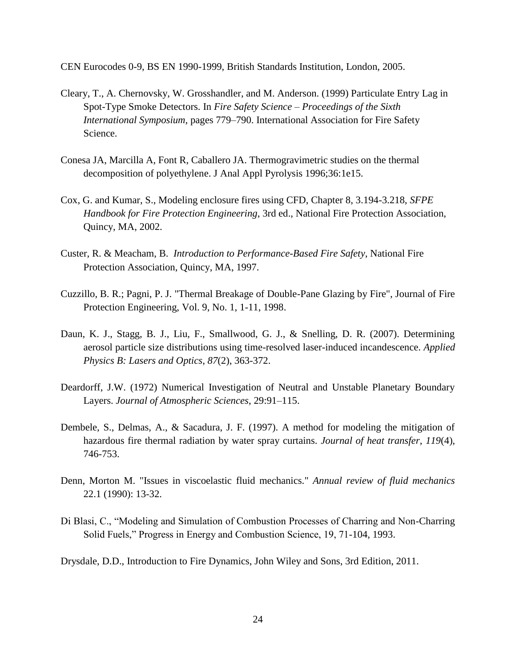CEN Eurocodes 0-9, BS EN 1990-1999, British Standards Institution, London, 2005.

- Cleary, T., A. Chernovsky, W. Grosshandler, and M. Anderson. (1999) Particulate Entry Lag in Spot-Type Smoke Detectors. In *Fire Safety Science – Proceedings of the Sixth International Symposium*, pages 779–790. International Association for Fire Safety Science.
- Conesa JA, Marcilla A, Font R, Caballero JA. Thermogravimetric studies on the thermal decomposition of polyethylene. J Anal Appl Pyrolysis 1996;36:1e15.
- Cox, G. and Kumar, S., Modeling enclosure fires using CFD, Chapter 8, 3.194-3.218, *SFPE Handbook for Fire Protection Engineering*, 3rd ed., National Fire Protection Association, Quincy, MA, 2002.
- Custer, R. & Meacham, B. *Introduction to Performance-Based Fire Safety*, National Fire Protection Association, Quincy, MA, 1997.
- Cuzzillo, B. R.; Pagni, P. J. "Thermal Breakage of Double-Pane Glazing by Fire", Journal of Fire Protection Engineering, Vol. 9, No. 1, 1-11, 1998.
- Daun, K. J., Stagg, B. J., Liu, F., Smallwood, G. J., & Snelling, D. R. (2007). Determining aerosol particle size distributions using time-resolved laser-induced incandescence. *Applied Physics B: Lasers and Optics*, *87*(2), 363-372.
- Deardorff, J.W. (1972) Numerical Investigation of Neutral and Unstable Planetary Boundary Layers. *Journal of Atmospheric Sciences*, 29:91–115.
- Dembele, S., Delmas, A., & Sacadura, J. F. (1997). A method for modeling the mitigation of hazardous fire thermal radiation by water spray curtains. *Journal of heat transfer*, *119*(4), 746-753.
- Denn, Morton M. "Issues in viscoelastic fluid mechanics." *Annual review of fluid mechanics* 22.1 (1990): 13-32.
- Di Blasi, C., "Modeling and Simulation of Combustion Processes of Charring and Non-Charring Solid Fuels," Progress in Energy and Combustion Science, 19, 71-104, 1993.
- Drysdale, D.D., Introduction to Fire Dynamics, John Wiley and Sons, 3rd Edition, 2011.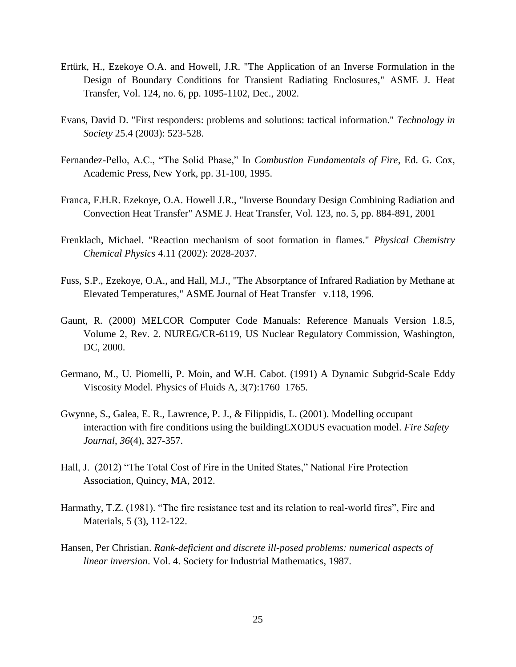- Ertürk, H., Ezekoye O.A. and Howell, J.R. "The Application of an Inverse Formulation in the Design of Boundary Conditions for Transient Radiating Enclosures," ASME J. Heat Transfer, Vol. 124, no. 6, pp. 1095-1102, Dec., 2002.
- Evans, David D. "First responders: problems and solutions: tactical information." *Technology in Society* 25.4 (2003): 523-528.
- Fernandez-Pello, A.C., "The Solid Phase," In *Combustion Fundamentals of Fire*, Ed. G. Cox, Academic Press, New York, pp. 31-100, 1995.
- Franca, F.H.R. Ezekoye, O.A. Howell J.R., "Inverse Boundary Design Combining Radiation and Convection Heat Transfer" ASME J. Heat Transfer, Vol. 123, no. 5, pp. 884-891, 2001
- Frenklach, Michael. "Reaction mechanism of soot formation in flames." *Physical Chemistry Chemical Physics* 4.11 (2002): 2028-2037.
- Fuss, S.P., Ezekoye, O.A., and Hall, M.J., "The Absorptance of Infrared Radiation by Methane at Elevated Temperatures," ASME Journal of Heat Transfer v.118, 1996.
- Gaunt, R. (2000) MELCOR Computer Code Manuals: Reference Manuals Version 1.8.5, Volume 2, Rev. 2. NUREG/CR-6119, US Nuclear Regulatory Commission, Washington, DC, 2000.
- Germano, M., U. Piomelli, P. Moin, and W.H. Cabot. (1991) A Dynamic Subgrid-Scale Eddy Viscosity Model. Physics of Fluids A, 3(7):1760–1765.
- Gwynne, S., Galea, E. R., Lawrence, P. J., & Filippidis, L. (2001). Modelling occupant interaction with fire conditions using the buildingEXODUS evacuation model. *Fire Safety Journal*, *36*(4), 327-357.
- Hall, J. (2012) "The Total Cost of Fire in the United States," National Fire Protection Association, Quincy, MA, 2012.
- Harmathy, T.Z. (1981). "The fire resistance test and its relation to real-world fires", Fire and Materials, 5 (3), 112-122.
- Hansen, Per Christian. *Rank-deficient and discrete ill-posed problems: numerical aspects of linear inversion*. Vol. 4. Society for Industrial Mathematics, 1987.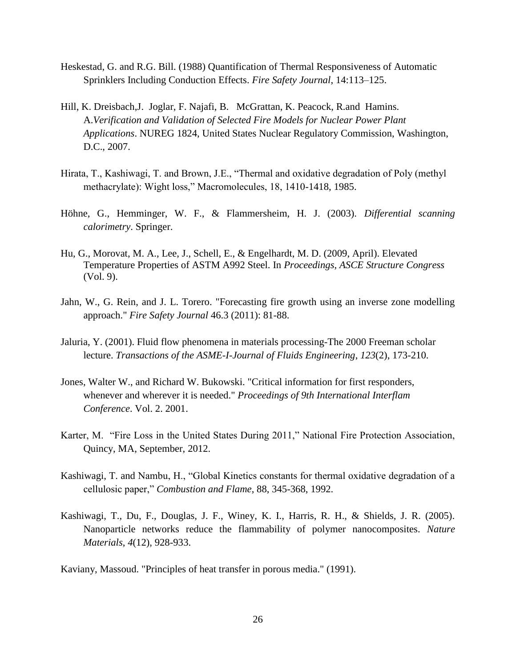- Heskestad, G. and R.G. Bill. (1988) Quantification of Thermal Responsiveness of Automatic Sprinklers Including Conduction Effects. *Fire Safety Journal*, 14:113–125.
- Hill, K. Dreisbach,J. Joglar, F. Najafi, B. McGrattan, K. Peacock, R.and Hamins. A.*Verification and Validation of Selected Fire Models for Nuclear Power Plant Applications*. NUREG 1824, United States Nuclear Regulatory Commission, Washington, D.C., 2007.
- Hirata, T., Kashiwagi, T. and Brown, J.E., "Thermal and oxidative degradation of Poly (methyl methacrylate): Wight loss," Macromolecules, 18, 1410-1418, 1985.
- Höhne, G., Hemminger, W. F., & Flammersheim, H. J. (2003). *Differential scanning calorimetry*. Springer.
- Hu, G., Morovat, M. A., Lee, J., Schell, E., & Engelhardt, M. D. (2009, April). Elevated Temperature Properties of ASTM A992 Steel. In *Proceedings, ASCE Structure Congress* (Vol. 9).
- Jahn, W., G. Rein, and J. L. Torero. "Forecasting fire growth using an inverse zone modelling approach." *Fire Safety Journal* 46.3 (2011): 81-88.
- Jaluria, Y. (2001). Fluid flow phenomena in materials processing-The 2000 Freeman scholar lecture. *Transactions of the ASME-I-Journal of Fluids Engineering*, *123*(2), 173-210.
- Jones, Walter W., and Richard W. Bukowski. "Critical information for first responders, whenever and wherever it is needed." *Proceedings of 9th International Interflam Conference*. Vol. 2. 2001.
- Karter, M. "Fire Loss in the United States During 2011," National Fire Protection Association, Quincy, MA, September, 2012.
- Kashiwagi, T. and Nambu, H., "Global Kinetics constants for thermal oxidative degradation of a cellulosic paper," *Combustion and Flame*, 88, 345-368, 1992.
- Kashiwagi, T., Du, F., Douglas, J. F., Winey, K. I., Harris, R. H., & Shields, J. R. (2005). Nanoparticle networks reduce the flammability of polymer nanocomposites. *Nature Materials*, *4*(12), 928-933.

Kaviany, Massoud. "Principles of heat transfer in porous media." (1991).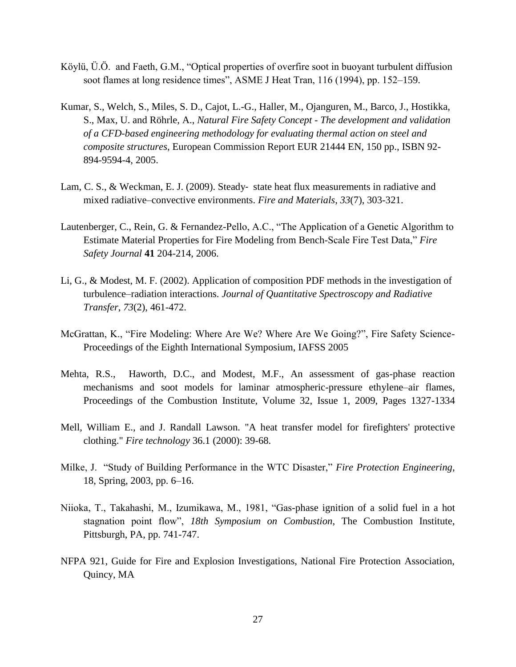- Köylü, Ü.Ö. and Faeth, G.M., "Optical properties of overfire soot in buoyant turbulent diffusion soot flames at long residence times", ASME J Heat Tran, 116 (1994), pp. 152–159.
- Kumar, S., Welch, S., Miles, S. D., Cajot, L.-G., Haller, M., Ojanguren, M., Barco, J., Hostikka, S., Max, U. and Röhrle, A., *Natural Fire Safety Concept - The development and validation of a CFD-based engineering methodology for evaluating thermal action on steel and composite structures*, European Commission Report EUR 21444 EN, 150 pp., ISBN 92- 894-9594-4, 2005.
- Lam, C. S., & Weckman, E. J. (2009). Steady- state heat flux measurements in radiative and mixed radiative–convective environments. *Fire and Materials*, *33*(7), 303-321.
- Lautenberger, C., Rein, G. & Fernandez-Pello, A.C., "The Application of a Genetic Algorithm to Estimate Material Properties for Fire Modeling from Bench-Scale Fire Test Data," *Fire Safety Journal* **41** 204-214, 2006.
- Li, G., & Modest, M. F. (2002). Application of composition PDF methods in the investigation of turbulence–radiation interactions. *Journal of Quantitative Spectroscopy and Radiative Transfer*, *73*(2), 461-472.
- McGrattan, K., "Fire Modeling: Where Are We? Where Are We Going?", Fire Safety Science-Proceedings of the Eighth International Symposium, IAFSS 2005
- Mehta, R.S., Haworth, D.C., and Modest, M.F., An assessment of gas-phase reaction mechanisms and soot models for laminar atmospheric-pressure ethylene–air flames, Proceedings of the Combustion Institute, Volume 32, Issue 1, 2009, Pages 1327-1334
- Mell, William E., and J. Randall Lawson. "A heat transfer model for firefighters' protective clothing." *Fire technology* 36.1 (2000): 39-68.
- Milke, J. "Study of Building Performance in the WTC Disaster," *Fire Protection Engineering*, 18, Spring, 2003, pp. 6–16.
- Niioka, T., Takahashi, M., Izumikawa, M., 1981, "Gas-phase ignition of a solid fuel in a hot stagnation point flow", *18th Symposium on Combustion*, The Combustion Institute, Pittsburgh, PA, pp. 741-747.
- NFPA 921, Guide for Fire and Explosion Investigations, National Fire Protection Association, Quincy, MA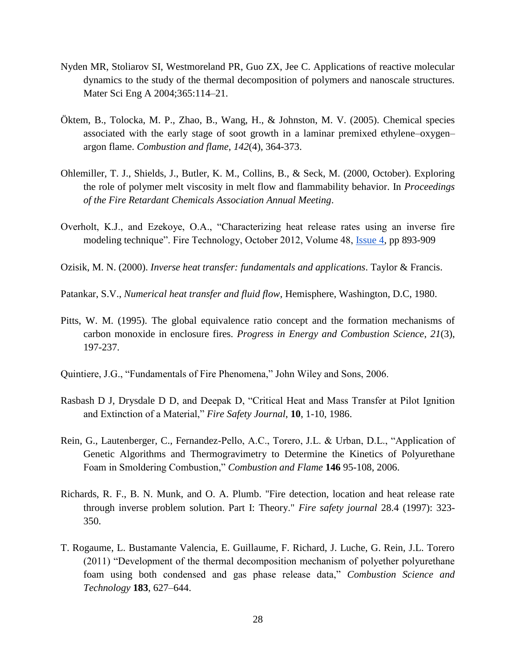- Nyden MR, Stoliarov SI, Westmoreland PR, Guo ZX, Jee C. Applications of reactive molecular dynamics to the study of the thermal decomposition of polymers and nanoscale structures. Mater Sci Eng A 2004;365:114–21.
- Öktem, B., Tolocka, M. P., Zhao, B., Wang, H., & Johnston, M. V. (2005). Chemical species associated with the early stage of soot growth in a laminar premixed ethylene–oxygen– argon flame. *Combustion and flame*, *142*(4), 364-373.
- Ohlemiller, T. J., Shields, J., Butler, K. M., Collins, B., & Seck, M. (2000, October). Exploring the role of polymer melt viscosity in melt flow and flammability behavior. In *Proceedings of the Fire Retardant Chemicals Association Annual Meeting*.
- Overholt, K.J., and Ezekoye, O.A., "Characterizing heat release rates using an inverse fire modeling technique". Fire Technology, October 2012, Volume 48, *Issue 4*, pp 893-909
- Ozisik, M. N. (2000). *Inverse heat transfer: fundamentals and applications*. Taylor & Francis.
- Patankar, S.V., *Numerical heat transfer and fluid flow*, Hemisphere, Washington, D.C, 1980.
- Pitts, W. M. (1995). The global equivalence ratio concept and the formation mechanisms of carbon monoxide in enclosure fires. *Progress in Energy and Combustion Science*, *21*(3), 197-237.
- Quintiere, J.G., "Fundamentals of Fire Phenomena," John Wiley and Sons, 2006.
- Rasbash D J, Drysdale D D, and Deepak D, "Critical Heat and Mass Transfer at Pilot Ignition and Extinction of a Material," *Fire Safety Journal*, **10**, 1-10, 1986.
- Rein, G., Lautenberger, C., Fernandez-Pello, A.C., Torero, J.L. & Urban, D.L., "Application of Genetic Algorithms and Thermogravimetry to Determine the Kinetics of Polyurethane Foam in Smoldering Combustion," *Combustion and Flame* **146** 95-108, 2006.
- Richards, R. F., B. N. Munk, and O. A. Plumb. "Fire detection, location and heat release rate through inverse problem solution. Part I: Theory." *Fire safety journal* 28.4 (1997): 323- 350.
- T. Rogaume, L. Bustamante Valencia, E. Guillaume, F. Richard, J. Luche, G. Rein, J.L. Torero (2011) "Development of the thermal decomposition mechanism of polyether polyurethane foam using both condensed and gas phase release data," *Combustion Science and Technology* **183**, 627–644.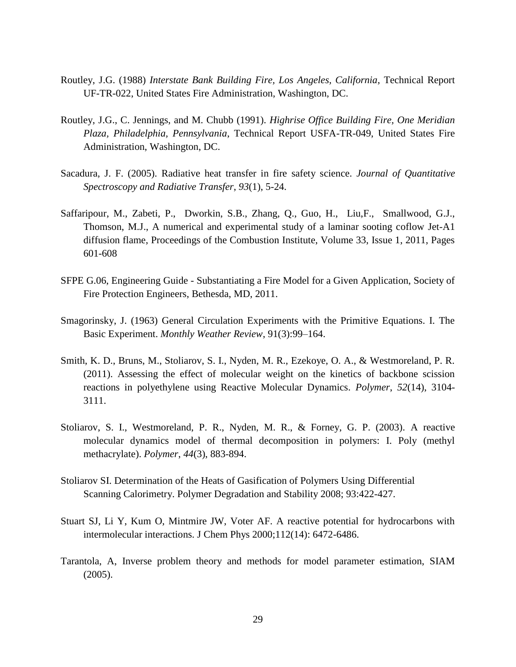- Routley, J.G. (1988) *Interstate Bank Building Fire, Los Angeles, California*, Technical Report UF-TR-022, United States Fire Administration, Washington, DC.
- Routley, J.G., C. Jennings, and M. Chubb (1991). *Highrise Office Building Fire, One Meridian Plaza, Philadelphia, Pennsylvania*, Technical Report USFA-TR-049, United States Fire Administration, Washington, DC.
- Sacadura, J. F. (2005). Radiative heat transfer in fire safety science. *Journal of Quantitative Spectroscopy and Radiative Transfer*, *93*(1), 5-24.
- Saffaripour, M., Zabeti, P., Dworkin, S.B., Zhang, Q., Guo, H., Liu,F., Smallwood, G.J., Thomson, M.J., A numerical and experimental study of a laminar sooting coflow Jet-A1 diffusion flame, Proceedings of the Combustion Institute, Volume 33, Issue 1, 2011, Pages 601-608
- SFPE G.06, Engineering Guide Substantiating a Fire Model for a Given Application, Society of Fire Protection Engineers, Bethesda, MD, 2011.
- Smagorinsky, J. (1963) General Circulation Experiments with the Primitive Equations. I. The Basic Experiment. *Monthly Weather Review*, 91(3):99–164.
- Smith, K. D., Bruns, M., Stoliarov, S. I., Nyden, M. R., Ezekoye, O. A., & Westmoreland, P. R. (2011). Assessing the effect of molecular weight on the kinetics of backbone scission reactions in polyethylene using Reactive Molecular Dynamics. *Polymer*, *52*(14), 3104- 3111.
- Stoliarov, S. I., Westmoreland, P. R., Nyden, M. R., & Forney, G. P. (2003). A reactive molecular dynamics model of thermal decomposition in polymers: I. Poly (methyl methacrylate). *Polymer*, *44*(3), 883-894.
- Stoliarov SI. Determination of the Heats of Gasification of Polymers Using Differential Scanning Calorimetry. Polymer Degradation and Stability 2008; 93:422-427.
- Stuart SJ, Li Y, Kum O, Mintmire JW, Voter AF. A reactive potential for hydrocarbons with intermolecular interactions. J Chem Phys 2000;112(14): 6472-6486.
- Tarantola, A, Inverse problem theory and methods for model parameter estimation, SIAM (2005).